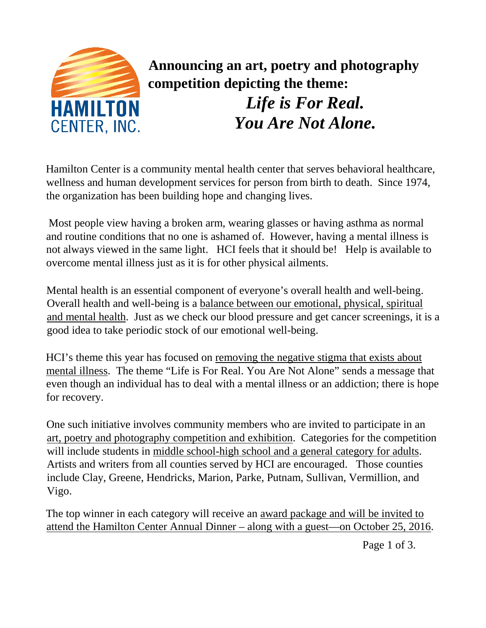

 **Announcing an art, poetry and photography competition depicting the theme:**

> *Life is For Real. You Are Not Alone.*

Hamilton Center is a community mental health center that serves behavioral healthcare, wellness and human development services for person from birth to death. Since 1974, the organization has been building hope and changing lives.

Most people view having a broken arm, wearing glasses or having asthma as normal and routine conditions that no one is ashamed of. However, having a mental illness is not always viewed in the same light. HCI feels that it should be! Help is available to overcome mental illness just as it is for other physical ailments.

Mental health is an essential component of everyone's overall health and well-being. Overall health and well-being is a balance between our emotional, physical, spiritual and mental health. Just as we check our blood pressure and get cancer screenings, it is a good idea to take periodic stock of our emotional well-being.

HCI's theme this year has focused on removing the negative stigma that exists about mental illness. The theme "Life is For Real. You Are Not Alone" sends a message that even though an individual has to deal with a mental illness or an addiction; there is hope for recovery.

One such initiative involves community members who are invited to participate in an art, poetry and photography competition and exhibition. Categories for the competition will include students in middle school-high school and a general category for adults. Artists and writers from all counties served by HCI are encouraged. Those counties include Clay, Greene, Hendricks, Marion, Parke, Putnam, Sullivan, Vermillion, and Vigo.

The top winner in each category will receive an award package and will be invited to attend the Hamilton Center Annual Dinner – along with a guest—on October 25, 2016.

Page 1 of 3.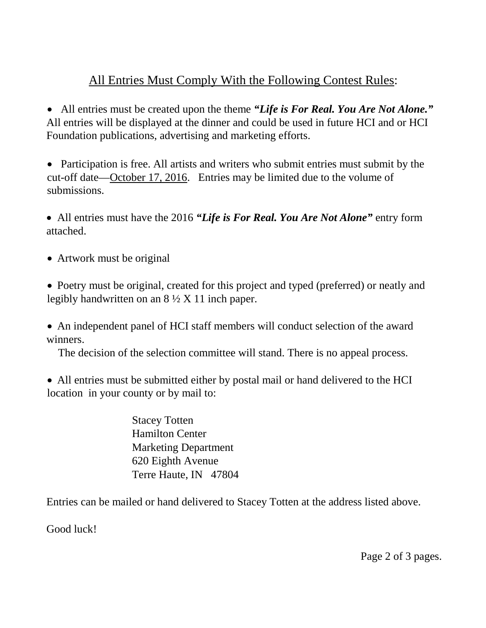## All Entries Must Comply With the Following Contest Rules:

• All entries must be created upon the theme *"Life is For Real. You Are Not Alone."* All entries will be displayed at the dinner and could be used in future HCI and or HCI Foundation publications, advertising and marketing efforts.

• Participation is free. All artists and writers who submit entries must submit by the cut-off date—October 17, 2016. Entries may be limited due to the volume of submissions.

• All entries must have the 2016 *"Life is For Real. You Are Not Alone"* entry form attached.

• Artwork must be original

• Poetry must be original, created for this project and typed (preferred) or neatly and legibly handwritten on an  $8\frac{1}{2}$  X 11 inch paper.

• An independent panel of HCI staff members will conduct selection of the award winners.

The decision of the selection committee will stand. There is no appeal process.

• All entries must be submitted either by postal mail or hand delivered to the HCI location in your county or by mail to:

> Stacey Totten Hamilton Center Marketing Department 620 Eighth Avenue Terre Haute, IN 47804

Entries can be mailed or hand delivered to Stacey Totten at the address listed above.

Good luck!

Page 2 of 3 pages.